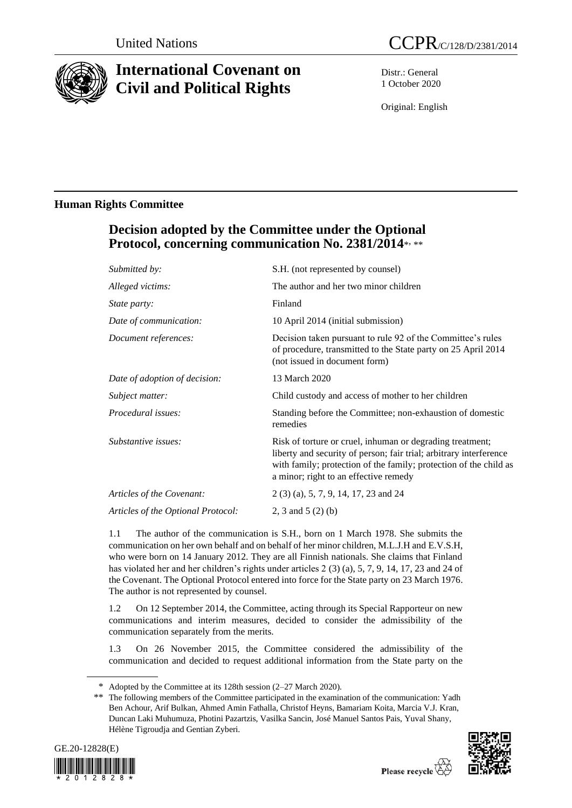

# **International Covenant on Civil and Political Rights**

Distr.: General 1 October 2020

Original: English

### **Human Rights Committee**

## **Decision adopted by the Committee under the Optional Protocol, concerning communication No. 2381/2014**\* , \*\*

| Submitted by:                      | S.H. (not represented by counsel)                                                                                                                                                                                                             |
|------------------------------------|-----------------------------------------------------------------------------------------------------------------------------------------------------------------------------------------------------------------------------------------------|
| Alleged victims:                   | The author and her two minor children                                                                                                                                                                                                         |
| <i>State party:</i>                | Finland                                                                                                                                                                                                                                       |
| Date of communication:             | 10 April 2014 (initial submission)                                                                                                                                                                                                            |
| Document references:               | Decision taken pursuant to rule 92 of the Committee's rules<br>of procedure, transmitted to the State party on 25 April 2014<br>(not issued in document form)                                                                                 |
| Date of adoption of decision:      | 13 March 2020                                                                                                                                                                                                                                 |
| Subject matter:                    | Child custody and access of mother to her children                                                                                                                                                                                            |
| <i>Procedural issues:</i>          | Standing before the Committee; non-exhaustion of domestic<br>remedies                                                                                                                                                                         |
| Substantive issues:                | Risk of torture or cruel, inhuman or degrading treatment;<br>liberty and security of person; fair trial; arbitrary interference<br>with family; protection of the family; protection of the child as<br>a minor; right to an effective remedy |
| Articles of the Covenant:          | 2 (3) (a), 5, 7, 9, 14, 17, 23 and 24                                                                                                                                                                                                         |
| Articles of the Optional Protocol: | 2, 3 and $5(2)$ (b)                                                                                                                                                                                                                           |

1.1 The author of the communication is S.H., born on 1 March 1978. She submits the communication on her own behalf and on behalf of her minor children, M.L.J.H and E.V.S.H, who were born on 14 January 2012. They are all Finnish nationals. She claims that Finland has violated her and her children's rights under articles 2 (3) (a), 5, 7, 9, 14, 17, 23 and 24 of the Covenant. The Optional Protocol entered into force for the State party on 23 March 1976. The author is not represented by counsel.

1.2 On 12 September 2014, the Committee, acting through its Special Rapporteur on new communications and interim measures, decided to consider the admissibility of the communication separately from the merits.

1.3 On 26 November 2015, the Committee considered the admissibility of the communication and decided to request additional information from the State party on the

<sup>\*\*</sup> The following members of the Committee participated in the examination of the communication: Yadh Ben Achour, Arif Bulkan, Ahmed Amin Fathalla, Christof Heyns, Bamariam Koita, Marcia V.J. Kran, Duncan Laki Muhumuza, Photini Pazartzis, Vasilka Sancin, José Manuel Santos Pais, Yuval Shany, Hélène Tigroudja and Gentian Zyberi.





<sup>\*</sup> Adopted by the Committee at its 128th session (2–27 March 2020).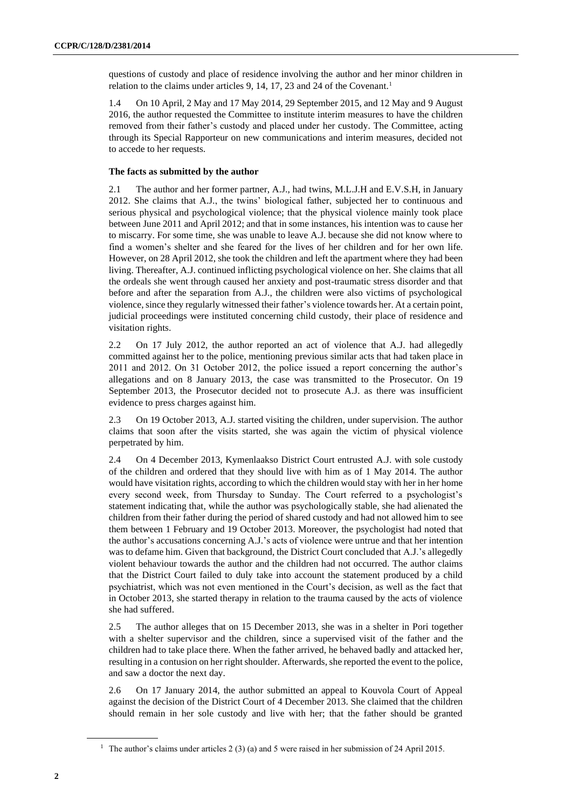questions of custody and place of residence involving the author and her minor children in relation to the claims under articles 9, 14, 17, 23 and 24 of the Covenant.<sup>1</sup>

1.4 On 10 April, 2 May and 17 May 2014, 29 September 2015, and 12 May and 9 August 2016, the author requested the Committee to institute interim measures to have the children removed from their father's custody and placed under her custody. The Committee, acting through its Special Rapporteur on new communications and interim measures, decided not to accede to her requests.

#### **The facts as submitted by the author**

2.1 The author and her former partner, A.J., had twins, M.L.J.H and E.V.S.H, in January 2012. She claims that A.J., the twins' biological father, subjected her to continuous and serious physical and psychological violence; that the physical violence mainly took place between June 2011 and April 2012; and that in some instances, his intention was to cause her to miscarry. For some time, she was unable to leave A.J. because she did not know where to find a women's shelter and she feared for the lives of her children and for her own life. However, on 28 April 2012, she took the children and left the apartment where they had been living. Thereafter, A.J. continued inflicting psychological violence on her. She claims that all the ordeals she went through caused her anxiety and post-traumatic stress disorder and that before and after the separation from A.J., the children were also victims of psychological violence, since they regularly witnessed their father's violence towards her. At a certain point, judicial proceedings were instituted concerning child custody, their place of residence and visitation rights.

2.2 On 17 July 2012, the author reported an act of violence that A.J. had allegedly committed against her to the police, mentioning previous similar acts that had taken place in 2011 and 2012. On 31 October 2012, the police issued a report concerning the author's allegations and on 8 January 2013, the case was transmitted to the Prosecutor. On 19 September 2013, the Prosecutor decided not to prosecute A.J. as there was insufficient evidence to press charges against him.

2.3 On 19 October 2013, A.J. started visiting the children, under supervision. The author claims that soon after the visits started, she was again the victim of physical violence perpetrated by him.

2.4 On 4 December 2013, Kymenlaakso District Court entrusted A.J. with sole custody of the children and ordered that they should live with him as of 1 May 2014. The author would have visitation rights, according to which the children would stay with her in her home every second week, from Thursday to Sunday. The Court referred to a psychologist's statement indicating that, while the author was psychologically stable, she had alienated the children from their father during the period of shared custody and had not allowed him to see them between 1 February and 19 October 2013. Moreover, the psychologist had noted that the author's accusations concerning A.J.'s acts of violence were untrue and that her intention was to defame him. Given that background, the District Court concluded that A.J.'s allegedly violent behaviour towards the author and the children had not occurred. The author claims that the District Court failed to duly take into account the statement produced by a child psychiatrist, which was not even mentioned in the Court's decision, as well as the fact that in October 2013, she started therapy in relation to the trauma caused by the acts of violence she had suffered.

2.5 The author alleges that on 15 December 2013, she was in a shelter in Pori together with a shelter supervisor and the children, since a supervised visit of the father and the children had to take place there. When the father arrived, he behaved badly and attacked her, resulting in a contusion on her right shoulder. Afterwards, she reported the event to the police, and saw a doctor the next day.

2.6 On 17 January 2014, the author submitted an appeal to Kouvola Court of Appeal against the decision of the District Court of 4 December 2013. She claimed that the children should remain in her sole custody and live with her; that the father should be granted

<sup>&</sup>lt;sup>1</sup> The author's claims under articles 2 (3) (a) and 5 were raised in her submission of 24 April 2015.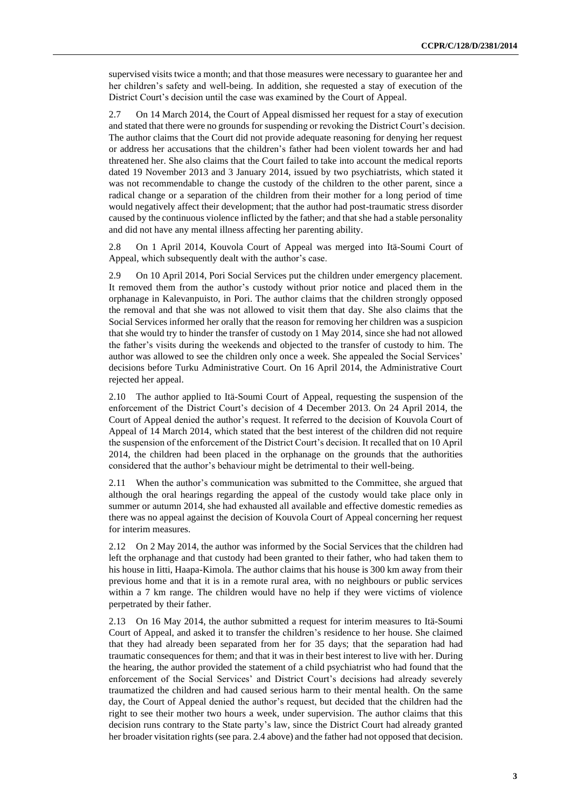supervised visits twice a month; and that those measures were necessary to guarantee her and her children's safety and well-being. In addition, she requested a stay of execution of the District Court's decision until the case was examined by the Court of Appeal.

2.7 On 14 March 2014, the Court of Appeal dismissed her request for a stay of execution and stated that there were no grounds for suspending or revoking the District Court's decision. The author claims that the Court did not provide adequate reasoning for denying her request or address her accusations that the children's father had been violent towards her and had threatened her. She also claims that the Court failed to take into account the medical reports dated 19 November 2013 and 3 January 2014, issued by two psychiatrists, which stated it was not recommendable to change the custody of the children to the other parent, since a radical change or a separation of the children from their mother for a long period of time would negatively affect their development; that the author had post-traumatic stress disorder caused by the continuous violence inflicted by the father; and that she had a stable personality and did not have any mental illness affecting her parenting ability.

2.8 On 1 April 2014, Kouvola Court of Appeal was merged into Itä-Soumi Court of Appeal, which subsequently dealt with the author's case.

2.9 On 10 April 2014, Pori Social Services put the children under emergency placement. It removed them from the author's custody without prior notice and placed them in the orphanage in Kalevanpuisto, in Pori. The author claims that the children strongly opposed the removal and that she was not allowed to visit them that day. She also claims that the Social Services informed her orally that the reason for removing her children was a suspicion that she would try to hinder the transfer of custody on 1 May 2014, since she had not allowed the father's visits during the weekends and objected to the transfer of custody to him. The author was allowed to see the children only once a week. She appealed the Social Services' decisions before Turku Administrative Court. On 16 April 2014, the Administrative Court rejected her appeal.

2.10 The author applied to Itä-Soumi Court of Appeal, requesting the suspension of the enforcement of the District Court's decision of 4 December 2013. On 24 April 2014, the Court of Appeal denied the author's request. It referred to the decision of Kouvola Court of Appeal of 14 March 2014, which stated that the best interest of the children did not require the suspension of the enforcement of the District Court's decision. It recalled that on 10 April 2014, the children had been placed in the orphanage on the grounds that the authorities considered that the author's behaviour might be detrimental to their well-being.

2.11 When the author's communication was submitted to the Committee, she argued that although the oral hearings regarding the appeal of the custody would take place only in summer or autumn 2014, she had exhausted all available and effective domestic remedies as there was no appeal against the decision of Kouvola Court of Appeal concerning her request for interim measures.

2.12 On 2 May 2014, the author was informed by the Social Services that the children had left the orphanage and that custody had been granted to their father, who had taken them to his house in Iitti, Haapa-Kimola. The author claims that his house is 300 km away from their previous home and that it is in a remote rural area, with no neighbours or public services within a 7 km range. The children would have no help if they were victims of violence perpetrated by their father.

2.13 On 16 May 2014, the author submitted a request for interim measures to Itä-Soumi Court of Appeal, and asked it to transfer the children's residence to her house. She claimed that they had already been separated from her for 35 days; that the separation had had traumatic consequences for them; and that it was in their best interest to live with her. During the hearing, the author provided the statement of a child psychiatrist who had found that the enforcement of the Social Services' and District Court's decisions had already severely traumatized the children and had caused serious harm to their mental health. On the same day, the Court of Appeal denied the author's request, but decided that the children had the right to see their mother two hours a week, under supervision. The author claims that this decision runs contrary to the State party's law, since the District Court had already granted her broader visitation rights (see para. 2.4 above) and the father had not opposed that decision.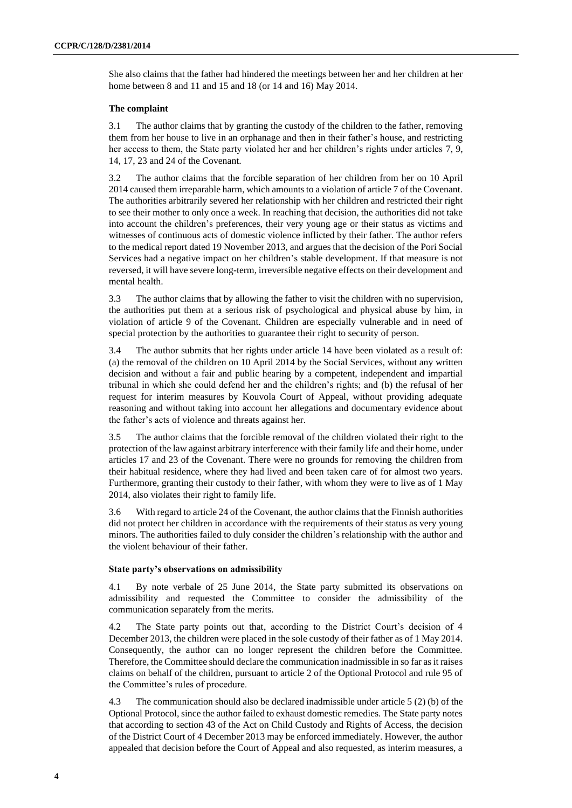She also claims that the father had hindered the meetings between her and her children at her home between 8 and 11 and 15 and 18 (or 14 and 16) May 2014.

#### **The complaint**

3.1 The author claims that by granting the custody of the children to the father, removing them from her house to live in an orphanage and then in their father's house, and restricting her access to them, the State party violated her and her children's rights under articles 7, 9, 14, 17, 23 and 24 of the Covenant.

3.2 The author claims that the forcible separation of her children from her on 10 April 2014 caused them irreparable harm, which amounts to a violation of article 7 of the Covenant. The authorities arbitrarily severed her relationship with her children and restricted their right to see their mother to only once a week. In reaching that decision, the authorities did not take into account the children's preferences, their very young age or their status as victims and witnesses of continuous acts of domestic violence inflicted by their father. The author refers to the medical report dated 19 November 2013, and argues that the decision of the Pori Social Services had a negative impact on her children's stable development. If that measure is not reversed, it will have severe long-term, irreversible negative effects on their development and mental health.

3.3 The author claims that by allowing the father to visit the children with no supervision, the authorities put them at a serious risk of psychological and physical abuse by him, in violation of article 9 of the Covenant. Children are especially vulnerable and in need of special protection by the authorities to guarantee their right to security of person.

3.4 The author submits that her rights under article 14 have been violated as a result of: (a) the removal of the children on 10 April 2014 by the Social Services, without any written decision and without a fair and public hearing by a competent, independent and impartial tribunal in which she could defend her and the children's rights; and (b) the refusal of her request for interim measures by Kouvola Court of Appeal, without providing adequate reasoning and without taking into account her allegations and documentary evidence about the father's acts of violence and threats against her.

3.5 The author claims that the forcible removal of the children violated their right to the protection of the law against arbitrary interference with their family life and their home, under articles 17 and 23 of the Covenant. There were no grounds for removing the children from their habitual residence, where they had lived and been taken care of for almost two years. Furthermore, granting their custody to their father, with whom they were to live as of 1 May 2014, also violates their right to family life.

3.6 With regard to article 24 of the Covenant, the author claims that the Finnish authorities did not protect her children in accordance with the requirements of their status as very young minors. The authorities failed to duly consider the children's relationship with the author and the violent behaviour of their father.

#### **State party's observations on admissibility**

4.1 By note verbale of 25 June 2014, the State party submitted its observations on admissibility and requested the Committee to consider the admissibility of the communication separately from the merits.

4.2 The State party points out that, according to the District Court's decision of 4 December 2013, the children were placed in the sole custody of their father as of 1 May 2014. Consequently, the author can no longer represent the children before the Committee. Therefore, the Committee should declare the communication inadmissible in so far as it raises claims on behalf of the children, pursuant to article 2 of the Optional Protocol and rule 95 of the Committee's rules of procedure.

4.3 The communication should also be declared inadmissible under article 5 (2) (b) of the Optional Protocol, since the author failed to exhaust domestic remedies. The State party notes that according to section 43 of the Act on Child Custody and Rights of Access, the decision of the District Court of 4 December 2013 may be enforced immediately. However, the author appealed that decision before the Court of Appeal and also requested, as interim measures, a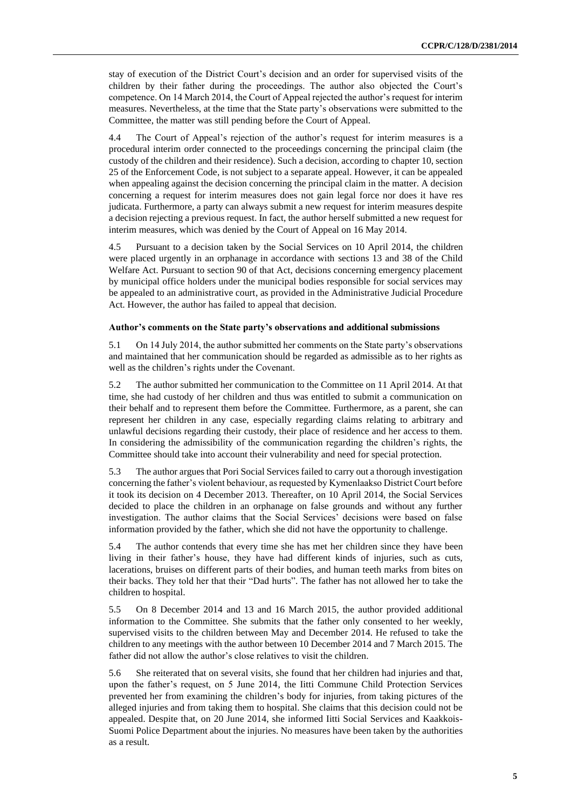stay of execution of the District Court's decision and an order for supervised visits of the children by their father during the proceedings. The author also objected the Court's competence. On 14 March 2014, the Court of Appeal rejected the author's request for interim measures. Nevertheless, at the time that the State party's observations were submitted to the Committee, the matter was still pending before the Court of Appeal.

4.4 The Court of Appeal's rejection of the author's request for interim measures is a procedural interim order connected to the proceedings concerning the principal claim (the custody of the children and their residence). Such a decision, according to chapter 10, section 25 of the Enforcement Code, is not subject to a separate appeal. However, it can be appealed when appealing against the decision concerning the principal claim in the matter. A decision concerning a request for interim measures does not gain legal force nor does it have res judicata. Furthermore, a party can always submit a new request for interim measures despite a decision rejecting a previous request. In fact, the author herself submitted a new request for interim measures, which was denied by the Court of Appeal on 16 May 2014.

4.5 Pursuant to a decision taken by the Social Services on 10 April 2014, the children were placed urgently in an orphanage in accordance with sections 13 and 38 of the Child Welfare Act. Pursuant to section 90 of that Act, decisions concerning emergency placement by municipal office holders under the municipal bodies responsible for social services may be appealed to an administrative court, as provided in the Administrative Judicial Procedure Act. However, the author has failed to appeal that decision.

#### **Author's comments on the State party's observations and additional submissions**

5.1 On 14 July 2014, the author submitted her comments on the State party's observations and maintained that her communication should be regarded as admissible as to her rights as well as the children's rights under the Covenant.

5.2 The author submitted her communication to the Committee on 11 April 2014. At that time, she had custody of her children and thus was entitled to submit a communication on their behalf and to represent them before the Committee. Furthermore, as a parent, she can represent her children in any case, especially regarding claims relating to arbitrary and unlawful decisions regarding their custody, their place of residence and her access to them. In considering the admissibility of the communication regarding the children's rights, the Committee should take into account their vulnerability and need for special protection.

5.3 The author argues that Pori Social Services failed to carry out a thorough investigation concerning the father's violent behaviour, as requested by Kymenlaakso District Court before it took its decision on 4 December 2013. Thereafter, on 10 April 2014, the Social Services decided to place the children in an orphanage on false grounds and without any further investigation. The author claims that the Social Services' decisions were based on false information provided by the father, which she did not have the opportunity to challenge.

5.4 The author contends that every time she has met her children since they have been living in their father's house, they have had different kinds of injuries, such as cuts, lacerations, bruises on different parts of their bodies, and human teeth marks from bites on their backs. They told her that their "Dad hurts". The father has not allowed her to take the children to hospital.

5.5 On 8 December 2014 and 13 and 16 March 2015, the author provided additional information to the Committee. She submits that the father only consented to her weekly, supervised visits to the children between May and December 2014. He refused to take the children to any meetings with the author between 10 December 2014 and 7 March 2015. The father did not allow the author's close relatives to visit the children.

5.6 She reiterated that on several visits, she found that her children had injuries and that, upon the father's request, on 5 June 2014, the Iitti Commune Child Protection Services prevented her from examining the children's body for injuries, from taking pictures of the alleged injuries and from taking them to hospital. She claims that this decision could not be appealed. Despite that, on 20 June 2014, she informed Iitti Social Services and Kaakkois-Suomi Police Department about the injuries. No measures have been taken by the authorities as a result.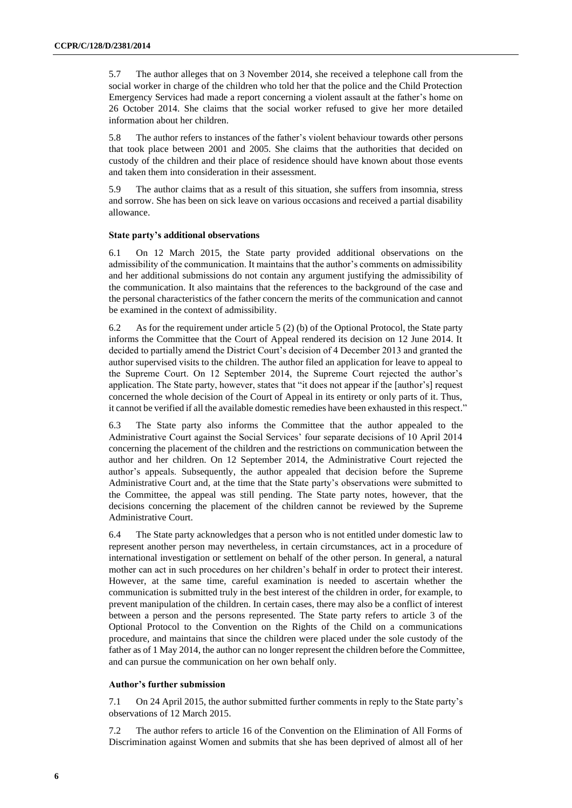5.7 The author alleges that on 3 November 2014, she received a telephone call from the social worker in charge of the children who told her that the police and the Child Protection Emergency Services had made a report concerning a violent assault at the father's home on 26 October 2014. She claims that the social worker refused to give her more detailed information about her children.

5.8 The author refers to instances of the father's violent behaviour towards other persons that took place between 2001 and 2005. She claims that the authorities that decided on custody of the children and their place of residence should have known about those events and taken them into consideration in their assessment.

5.9 The author claims that as a result of this situation, she suffers from insomnia, stress and sorrow. She has been on sick leave on various occasions and received a partial disability allowance.

#### **State party's additional observations**

6.1 On 12 March 2015, the State party provided additional observations on the admissibility of the communication. It maintains that the author's comments on admissibility and her additional submissions do not contain any argument justifying the admissibility of the communication. It also maintains that the references to the background of the case and the personal characteristics of the father concern the merits of the communication and cannot be examined in the context of admissibility.

6.2 As for the requirement under article 5 (2) (b) of the Optional Protocol, the State party informs the Committee that the Court of Appeal rendered its decision on 12 June 2014. It decided to partially amend the District Court's decision of 4 December 2013 and granted the author supervised visits to the children. The author filed an application for leave to appeal to the Supreme Court. On 12 September 2014, the Supreme Court rejected the author's application. The State party, however, states that "it does not appear if the [author's] request concerned the whole decision of the Court of Appeal in its entirety or only parts of it. Thus, it cannot be verified if all the available domestic remedies have been exhausted in this respect."

6.3 The State party also informs the Committee that the author appealed to the Administrative Court against the Social Services' four separate decisions of 10 April 2014 concerning the placement of the children and the restrictions on communication between the author and her children. On 12 September 2014, the Administrative Court rejected the author's appeals. Subsequently, the author appealed that decision before the Supreme Administrative Court and, at the time that the State party's observations were submitted to the Committee, the appeal was still pending. The State party notes, however, that the decisions concerning the placement of the children cannot be reviewed by the Supreme Administrative Court.

6.4 The State party acknowledges that a person who is not entitled under domestic law to represent another person may nevertheless, in certain circumstances, act in a procedure of international investigation or settlement on behalf of the other person. In general, a natural mother can act in such procedures on her children's behalf in order to protect their interest. However, at the same time, careful examination is needed to ascertain whether the communication is submitted truly in the best interest of the children in order, for example, to prevent manipulation of the children. In certain cases, there may also be a conflict of interest between a person and the persons represented. The State party refers to article 3 of the Optional Protocol to the Convention on the Rights of the Child on a communications procedure, and maintains that since the children were placed under the sole custody of the father as of 1 May 2014, the author can no longer represent the children before the Committee, and can pursue the communication on her own behalf only.

#### **Author's further submission**

7.1 On 24 April 2015, the author submitted further comments in reply to the State party's observations of 12 March 2015.

7.2 The author refers to article 16 of the Convention on the Elimination of All Forms of Discrimination against Women and submits that she has been deprived of almost all of her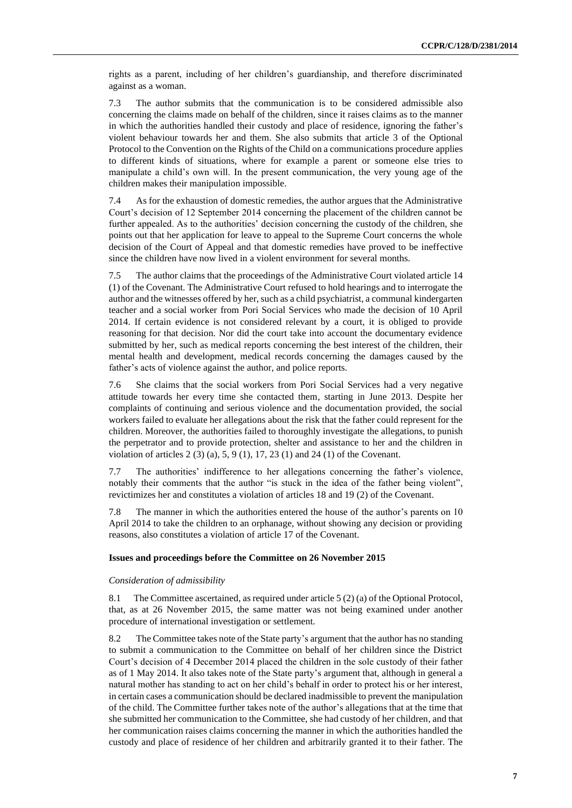rights as a parent, including of her children's guardianship, and therefore discriminated against as a woman.

7.3 The author submits that the communication is to be considered admissible also concerning the claims made on behalf of the children, since it raises claims as to the manner in which the authorities handled their custody and place of residence, ignoring the father's violent behaviour towards her and them. She also submits that article 3 of the Optional Protocol to the Convention on the Rights of the Child on a communications procedure applies to different kinds of situations, where for example a parent or someone else tries to manipulate a child's own will. In the present communication, the very young age of the children makes their manipulation impossible.

7.4 As for the exhaustion of domestic remedies, the author argues that the Administrative Court's decision of 12 September 2014 concerning the placement of the children cannot be further appealed. As to the authorities' decision concerning the custody of the children, she points out that her application for leave to appeal to the Supreme Court concerns the whole decision of the Court of Appeal and that domestic remedies have proved to be ineffective since the children have now lived in a violent environment for several months.

7.5 The author claims that the proceedings of the Administrative Court violated article 14 (1) of the Covenant. The Administrative Court refused to hold hearings and to interrogate the author and the witnesses offered by her, such as a child psychiatrist, a communal kindergarten teacher and a social worker from Pori Social Services who made the decision of 10 April 2014. If certain evidence is not considered relevant by a court, it is obliged to provide reasoning for that decision. Nor did the court take into account the documentary evidence submitted by her, such as medical reports concerning the best interest of the children, their mental health and development, medical records concerning the damages caused by the father's acts of violence against the author, and police reports.

7.6 She claims that the social workers from Pori Social Services had a very negative attitude towards her every time she contacted them, starting in June 2013. Despite her complaints of continuing and serious violence and the documentation provided, the social workers failed to evaluate her allegations about the risk that the father could represent for the children. Moreover, the authorities failed to thoroughly investigate the allegations, to punish the perpetrator and to provide protection, shelter and assistance to her and the children in violation of articles  $2(3)(a)$ ,  $5, 9(1)$ ,  $17, 23(1)$  and  $24(1)$  of the Covenant.

7.7 The authorities' indifference to her allegations concerning the father's violence, notably their comments that the author "is stuck in the idea of the father being violent", revictimizes her and constitutes a violation of articles 18 and 19 (2) of the Covenant.

7.8 The manner in which the authorities entered the house of the author's parents on 10 April 2014 to take the children to an orphanage, without showing any decision or providing reasons, also constitutes a violation of article 17 of the Covenant.

#### **Issues and proceedings before the Committee on 26 November 2015**

#### *Consideration of admissibility*

8.1 The Committee ascertained, as required under article 5 (2) (a) of the Optional Protocol, that, as at 26 November 2015, the same matter was not being examined under another procedure of international investigation or settlement.

8.2 The Committee takes note of the State party's argument that the author has no standing to submit a communication to the Committee on behalf of her children since the District Court's decision of 4 December 2014 placed the children in the sole custody of their father as of 1 May 2014. It also takes note of the State party's argument that, although in general a natural mother has standing to act on her child's behalf in order to protect his or her interest, in certain cases a communication should be declared inadmissible to prevent the manipulation of the child. The Committee further takes note of the author's allegations that at the time that she submitted her communication to the Committee, she had custody of her children, and that her communication raises claims concerning the manner in which the authorities handled the custody and place of residence of her children and arbitrarily granted it to their father. The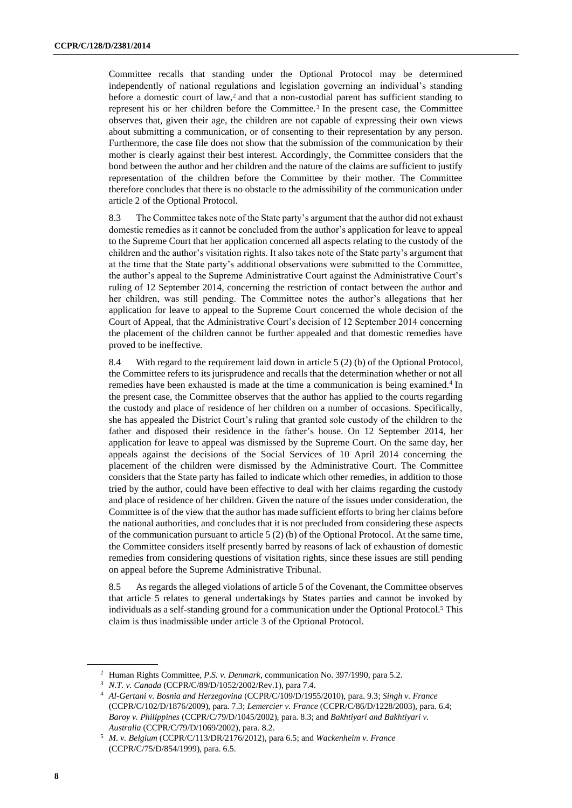Committee recalls that standing under the Optional Protocol may be determined independently of national regulations and legislation governing an individual's standing before a domestic court of law,<sup>2</sup> and that a non-custodial parent has sufficient standing to represent his or her children before the Committee. <sup>3</sup> In the present case, the Committee observes that, given their age, the children are not capable of expressing their own views about submitting a communication, or of consenting to their representation by any person. Furthermore, the case file does not show that the submission of the communication by their mother is clearly against their best interest. Accordingly, the Committee considers that the bond between the author and her children and the nature of the claims are sufficient to justify representation of the children before the Committee by their mother. The Committee therefore concludes that there is no obstacle to the admissibility of the communication under article 2 of the Optional Protocol.

8.3 The Committee takes note of the State party's argument that the author did not exhaust domestic remedies as it cannot be concluded from the author's application for leave to appeal to the Supreme Court that her application concerned all aspects relating to the custody of the children and the author's visitation rights. It also takes note of the State party's argument that at the time that the State party's additional observations were submitted to the Committee, the author's appeal to the Supreme Administrative Court against the Administrative Court's ruling of 12 September 2014, concerning the restriction of contact between the author and her children, was still pending. The Committee notes the author's allegations that her application for leave to appeal to the Supreme Court concerned the whole decision of the Court of Appeal, that the Administrative Court's decision of 12 September 2014 concerning the placement of the children cannot be further appealed and that domestic remedies have proved to be ineffective.

8.4 With regard to the requirement laid down in article 5 (2) (b) of the Optional Protocol, the Committee refers to its jurisprudence and recalls that the determination whether or not all remedies have been exhausted is made at the time a communication is being examined.<sup>4</sup> In the present case, the Committee observes that the author has applied to the courts regarding the custody and place of residence of her children on a number of occasions. Specifically, she has appealed the District Court's ruling that granted sole custody of the children to the father and disposed their residence in the father's house. On 12 September 2014, her application for leave to appeal was dismissed by the Supreme Court. On the same day, her appeals against the decisions of the Social Services of 10 April 2014 concerning the placement of the children were dismissed by the Administrative Court. The Committee considers that the State party has failed to indicate which other remedies, in addition to those tried by the author, could have been effective to deal with her claims regarding the custody and place of residence of her children. Given the nature of the issues under consideration, the Committee is of the view that the author has made sufficient efforts to bring her claims before the national authorities, and concludes that it is not precluded from considering these aspects of the communication pursuant to article 5 (2) (b) of the Optional Protocol. At the same time, the Committee considers itself presently barred by reasons of lack of exhaustion of domestic remedies from considering questions of visitation rights, since these issues are still pending on appeal before the Supreme Administrative Tribunal.

8.5 As regards the alleged violations of article 5 of the Covenant, the Committee observes that article 5 relates to general undertakings by States parties and cannot be invoked by individuals as a self-standing ground for a communication under the Optional Protocol.<sup>5</sup> This claim is thus inadmissible under article 3 of the Optional Protocol.

<sup>2</sup> Human Rights Committee, *P.S. v. Denmark*, communication No. 397/1990, para 5.2.

<sup>3</sup> *N.T. v. Canada* (CCPR/C/89/D/1052/2002/Rev.1), para 7.4.

<sup>4</sup> *Al-Gertani v. Bosnia and Herzegovina* (CCPR/C/109/D/1955/2010), para. 9.3; *Singh v. France* (CCPR/C/102/D/1876/2009), para. 7.3; *Lemercier v. France* (CCPR/C/86/D/1228/2003), para. 6.4; *Baroy v. Philippines* (CCPR/C/79/D/1045/2002), para. 8.3; and *Bakhtiyari and Bakhtiyari v. Australia* (CCPR/C/79/D/1069/2002), para. 8.2.

<sup>5</sup> *M. v. Belgium* (CCPR/C/113/DR/2176/2012), para 6.5; and *Wackenheim v. France* (CCPR/C/75/D/854/1999), para. 6.5.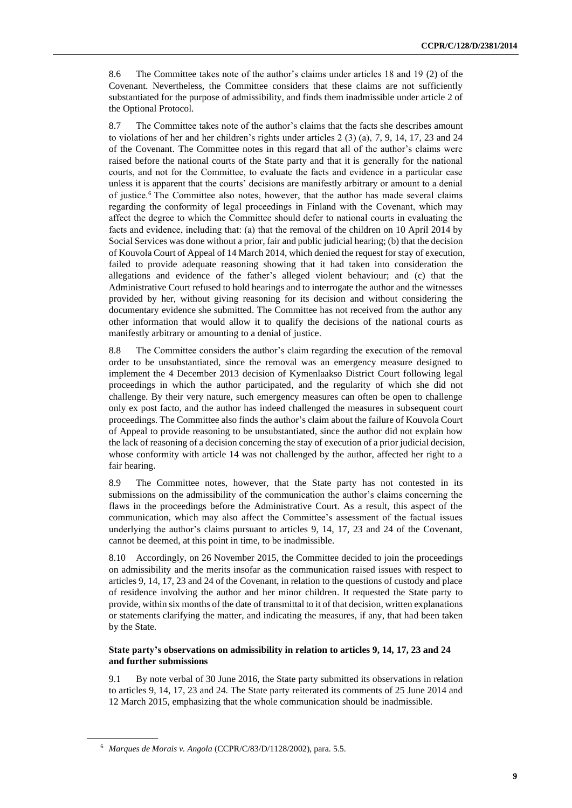8.6 The Committee takes note of the author's claims under articles 18 and 19 (2) of the Covenant. Nevertheless, the Committee considers that these claims are not sufficiently substantiated for the purpose of admissibility, and finds them inadmissible under article 2 of the Optional Protocol.

8.7 The Committee takes note of the author's claims that the facts she describes amount to violations of her and her children's rights under articles 2 (3) (a), 7, 9, 14, 17, 23 and 24 of the Covenant. The Committee notes in this regard that all of the author's claims were raised before the national courts of the State party and that it is generally for the national courts, and not for the Committee, to evaluate the facts and evidence in a particular case unless it is apparent that the courts' decisions are manifestly arbitrary or amount to a denial of justice.<sup>6</sup> The Committee also notes, however, that the author has made several claims regarding the conformity of legal proceedings in Finland with the Covenant, which may affect the degree to which the Committee should defer to national courts in evaluating the facts and evidence, including that: (a) that the removal of the children on 10 April 2014 by Social Services was done without a prior, fair and public judicial hearing; (b) that the decision of Kouvola Court of Appeal of 14 March 2014, which denied the request for stay of execution, failed to provide adequate reasoning showing that it had taken into consideration the allegations and evidence of the father's alleged violent behaviour; and (c) that the Administrative Court refused to hold hearings and to interrogate the author and the witnesses provided by her, without giving reasoning for its decision and without considering the documentary evidence she submitted. The Committee has not received from the author any other information that would allow it to qualify the decisions of the national courts as manifestly arbitrary or amounting to a denial of justice.

8.8 The Committee considers the author's claim regarding the execution of the removal order to be unsubstantiated, since the removal was an emergency measure designed to implement the 4 December 2013 decision of Kymenlaakso District Court following legal proceedings in which the author participated, and the regularity of which she did not challenge. By their very nature, such emergency measures can often be open to challenge only ex post facto, and the author has indeed challenged the measures in subsequent court proceedings. The Committee also finds the author's claim about the failure of Kouvola Court of Appeal to provide reasoning to be unsubstantiated, since the author did not explain how the lack of reasoning of a decision concerning the stay of execution of a prior judicial decision, whose conformity with article 14 was not challenged by the author, affected her right to a fair hearing.

8.9 The Committee notes, however, that the State party has not contested in its submissions on the admissibility of the communication the author's claims concerning the flaws in the proceedings before the Administrative Court. As a result, this aspect of the communication, which may also affect the Committee's assessment of the factual issues underlying the author's claims pursuant to articles 9, 14, 17, 23 and 24 of the Covenant, cannot be deemed, at this point in time, to be inadmissible.

8.10 Accordingly, on 26 November 2015, the Committee decided to join the proceedings on admissibility and the merits insofar as the communication raised issues with respect to articles 9, 14, 17, 23 and 24 of the Covenant, in relation to the questions of custody and place of residence involving the author and her minor children. It requested the State party to provide, within six months of the date of transmittal to it of that decision, written explanations or statements clarifying the matter, and indicating the measures, if any, that had been taken by the State.

#### **State party's observations on admissibility in relation to articles 9, 14, 17, 23 and 24 and further submissions**

9.1 By note verbal of 30 June 2016, the State party submitted its observations in relation to articles 9, 14, 17, 23 and 24. The State party reiterated its comments of 25 June 2014 and 12 March 2015, emphasizing that the whole communication should be inadmissible.

<sup>6</sup> *Marques de Morais v. Angola* (CCPR/C/83/D/1128/2002), para. 5.5.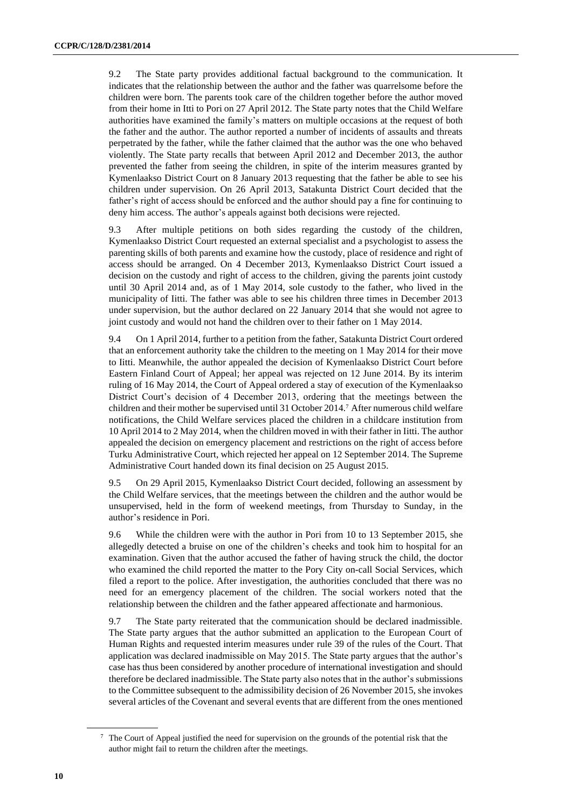9.2 The State party provides additional factual background to the communication. It indicates that the relationship between the author and the father was quarrelsome before the children were born. The parents took care of the children together before the author moved from their home in Itti to Pori on 27 April 2012. The State party notes that the Child Welfare authorities have examined the family's matters on multiple occasions at the request of both the father and the author. The author reported a number of incidents of assaults and threats perpetrated by the father, while the father claimed that the author was the one who behaved violently. The State party recalls that between April 2012 and December 2013, the author prevented the father from seeing the children, in spite of the interim measures granted by Kymenlaakso District Court on 8 January 2013 requesting that the father be able to see his children under supervision. On 26 April 2013, Satakunta District Court decided that the father's right of access should be enforced and the author should pay a fine for continuing to deny him access. The author's appeals against both decisions were rejected.

9.3 After multiple petitions on both sides regarding the custody of the children, Kymenlaakso District Court requested an external specialist and a psychologist to assess the parenting skills of both parents and examine how the custody, place of residence and right of access should be arranged. On 4 December 2013, Kymenlaakso District Court issued a decision on the custody and right of access to the children, giving the parents joint custody until 30 April 2014 and, as of 1 May 2014, sole custody to the father, who lived in the municipality of Iitti. The father was able to see his children three times in December 2013 under supervision, but the author declared on 22 January 2014 that she would not agree to joint custody and would not hand the children over to their father on 1 May 2014.

9.4 On 1 April 2014, further to a petition from the father, Satakunta District Court ordered that an enforcement authority take the children to the meeting on 1 May 2014 for their move to Iitti. Meanwhile, the author appealed the decision of Kymenlaakso District Court before Eastern Finland Court of Appeal; her appeal was rejected on 12 June 2014. By its interim ruling of 16 May 2014, the Court of Appeal ordered a stay of execution of the Kymenlaakso District Court's decision of 4 December 2013, ordering that the meetings between the children and their mother be supervised until 31 October 2014. <sup>7</sup> After numerous child welfare notifications, the Child Welfare services placed the children in a childcare institution from 10 April 2014 to 2 May 2014, when the children moved in with their father in Iitti. The author appealed the decision on emergency placement and restrictions on the right of access before Turku Administrative Court, which rejected her appeal on 12 September 2014. The Supreme Administrative Court handed down its final decision on 25 August 2015.

9.5 On 29 April 2015, Kymenlaakso District Court decided, following an assessment by the Child Welfare services, that the meetings between the children and the author would be unsupervised, held in the form of weekend meetings, from Thursday to Sunday, in the author's residence in Pori.

9.6 While the children were with the author in Pori from 10 to 13 September 2015, she allegedly detected a bruise on one of the children's cheeks and took him to hospital for an examination. Given that the author accused the father of having struck the child, the doctor who examined the child reported the matter to the Pory City on-call Social Services, which filed a report to the police. After investigation, the authorities concluded that there was no need for an emergency placement of the children. The social workers noted that the relationship between the children and the father appeared affectionate and harmonious.

9.7 The State party reiterated that the communication should be declared inadmissible. The State party argues that the author submitted an application to the European Court of Human Rights and requested interim measures under rule 39 of the rules of the Court. That application was declared inadmissible on May 2015. The State party argues that the author's case has thus been considered by another procedure of international investigation and should therefore be declared inadmissible. The State party also notes that in the author's submissions to the Committee subsequent to the admissibility decision of 26 November 2015, she invokes several articles of the Covenant and several events that are different from the ones mentioned

<sup>7</sup> The Court of Appeal justified the need for supervision on the grounds of the potential risk that the author might fail to return the children after the meetings.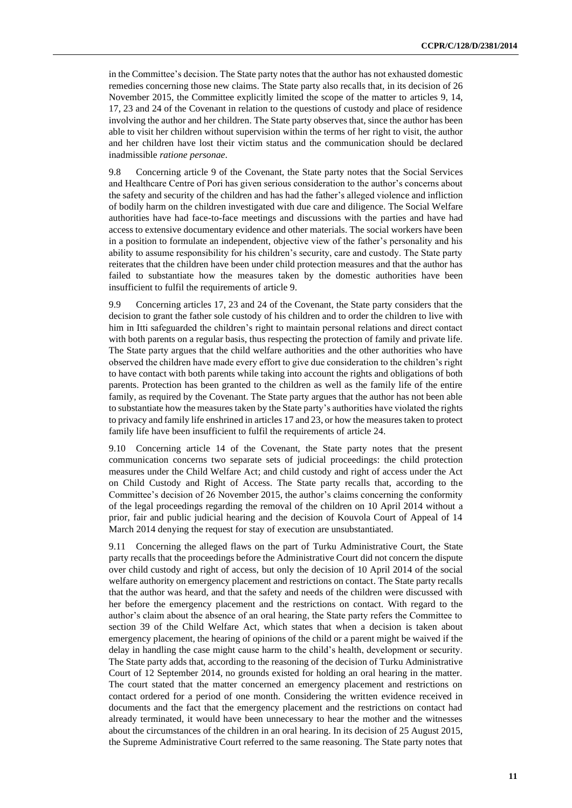in the Committee's decision. The State party notes that the author has not exhausted domestic remedies concerning those new claims. The State party also recalls that, in its decision of 26 November 2015, the Committee explicitly limited the scope of the matter to articles 9, 14, 17, 23 and 24 of the Covenant in relation to the questions of custody and place of residence involving the author and her children. The State party observes that, since the author has been able to visit her children without supervision within the terms of her right to visit, the author and her children have lost their victim status and the communication should be declared inadmissible *ratione personae*.

9.8 Concerning article 9 of the Covenant, the State party notes that the Social Services and Healthcare Centre of Pori has given serious consideration to the author's concerns about the safety and security of the children and has had the father's alleged violence and infliction of bodily harm on the children investigated with due care and diligence. The Social Welfare authorities have had face-to-face meetings and discussions with the parties and have had access to extensive documentary evidence and other materials. The social workers have been in a position to formulate an independent, objective view of the father's personality and his ability to assume responsibility for his children's security, care and custody. The State party reiterates that the children have been under child protection measures and that the author has failed to substantiate how the measures taken by the domestic authorities have been insufficient to fulfil the requirements of article 9.

9.9 Concerning articles 17, 23 and 24 of the Covenant, the State party considers that the decision to grant the father sole custody of his children and to order the children to live with him in Itti safeguarded the children's right to maintain personal relations and direct contact with both parents on a regular basis, thus respecting the protection of family and private life. The State party argues that the child welfare authorities and the other authorities who have observed the children have made every effort to give due consideration to the children's right to have contact with both parents while taking into account the rights and obligations of both parents. Protection has been granted to the children as well as the family life of the entire family, as required by the Covenant. The State party argues that the author has not been able to substantiate how the measures taken by the State party's authorities have violated the rights to privacy and family life enshrined in articles 17 and 23, or how the measures taken to protect family life have been insufficient to fulfil the requirements of article 24.

9.10 Concerning article 14 of the Covenant, the State party notes that the present communication concerns two separate sets of judicial proceedings: the child protection measures under the Child Welfare Act; and child custody and right of access under the Act on Child Custody and Right of Access. The State party recalls that, according to the Committee's decision of 26 November 2015, the author's claims concerning the conformity of the legal proceedings regarding the removal of the children on 10 April 2014 without a prior, fair and public judicial hearing and the decision of Kouvola Court of Appeal of 14 March 2014 denying the request for stay of execution are unsubstantiated.

9.11 Concerning the alleged flaws on the part of Turku Administrative Court, the State party recalls that the proceedings before the Administrative Court did not concern the dispute over child custody and right of access, but only the decision of 10 April 2014 of the social welfare authority on emergency placement and restrictions on contact. The State party recalls that the author was heard, and that the safety and needs of the children were discussed with her before the emergency placement and the restrictions on contact. With regard to the author's claim about the absence of an oral hearing, the State party refers the Committee to section 39 of the Child Welfare Act, which states that when a decision is taken about emergency placement, the hearing of opinions of the child or a parent might be waived if the delay in handling the case might cause harm to the child's health, development or security. The State party adds that, according to the reasoning of the decision of Turku Administrative Court of 12 September 2014, no grounds existed for holding an oral hearing in the matter. The court stated that the matter concerned an emergency placement and restrictions on contact ordered for a period of one month. Considering the written evidence received in documents and the fact that the emergency placement and the restrictions on contact had already terminated, it would have been unnecessary to hear the mother and the witnesses about the circumstances of the children in an oral hearing. In its decision of 25 August 2015, the Supreme Administrative Court referred to the same reasoning. The State party notes that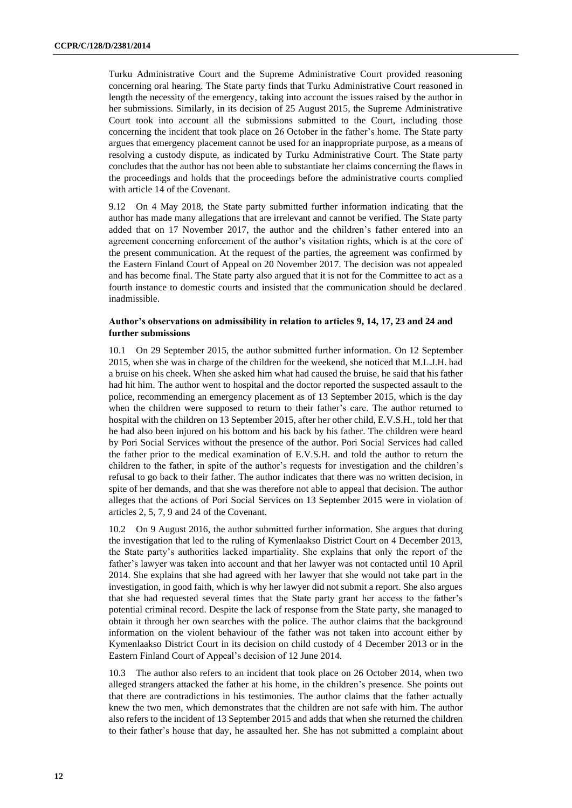Turku Administrative Court and the Supreme Administrative Court provided reasoning concerning oral hearing. The State party finds that Turku Administrative Court reasoned in length the necessity of the emergency, taking into account the issues raised by the author in her submissions. Similarly, in its decision of 25 August 2015, the Supreme Administrative Court took into account all the submissions submitted to the Court, including those concerning the incident that took place on 26 October in the father's home. The State party argues that emergency placement cannot be used for an inappropriate purpose, as a means of resolving a custody dispute, as indicated by Turku Administrative Court. The State party concludes that the author has not been able to substantiate her claims concerning the flaws in the proceedings and holds that the proceedings before the administrative courts complied with article 14 of the Covenant.

9.12 On 4 May 2018, the State party submitted further information indicating that the author has made many allegations that are irrelevant and cannot be verified. The State party added that on 17 November 2017, the author and the children's father entered into an agreement concerning enforcement of the author's visitation rights, which is at the core of the present communication. At the request of the parties, the agreement was confirmed by the Eastern Finland Court of Appeal on 20 November 2017. The decision was not appealed and has become final. The State party also argued that it is not for the Committee to act as a fourth instance to domestic courts and insisted that the communication should be declared inadmissible.

#### **Author's observations on admissibility in relation to articles 9, 14, 17, 23 and 24 and further submissions**

10.1 On 29 September 2015, the author submitted further information. On 12 September 2015, when she was in charge of the children for the weekend, she noticed that M.L.J.H. had a bruise on his cheek. When she asked him what had caused the bruise, he said that his father had hit him. The author went to hospital and the doctor reported the suspected assault to the police, recommending an emergency placement as of 13 September 2015, which is the day when the children were supposed to return to their father's care. The author returned to hospital with the children on 13 September 2015, after her other child, E.V.S.H., told her that he had also been injured on his bottom and his back by his father. The children were heard by Pori Social Services without the presence of the author. Pori Social Services had called the father prior to the medical examination of E.V.S.H. and told the author to return the children to the father, in spite of the author's requests for investigation and the children's refusal to go back to their father. The author indicates that there was no written decision, in spite of her demands, and that she was therefore not able to appeal that decision. The author alleges that the actions of Pori Social Services on 13 September 2015 were in violation of articles 2, 5, 7, 9 and 24 of the Covenant.

10.2 On 9 August 2016, the author submitted further information. She argues that during the investigation that led to the ruling of Kymenlaakso District Court on 4 December 2013, the State party's authorities lacked impartiality. She explains that only the report of the father's lawyer was taken into account and that her lawyer was not contacted until 10 April 2014. She explains that she had agreed with her lawyer that she would not take part in the investigation, in good faith, which is why her lawyer did not submit a report. She also argues that she had requested several times that the State party grant her access to the father's potential criminal record. Despite the lack of response from the State party, she managed to obtain it through her own searches with the police. The author claims that the background information on the violent behaviour of the father was not taken into account either by Kymenlaakso District Court in its decision on child custody of 4 December 2013 or in the Eastern Finland Court of Appeal's decision of 12 June 2014.

10.3 The author also refers to an incident that took place on 26 October 2014, when two alleged strangers attacked the father at his home, in the children's presence. She points out that there are contradictions in his testimonies. The author claims that the father actually knew the two men, which demonstrates that the children are not safe with him. The author also refers to the incident of 13 September 2015 and adds that when she returned the children to their father's house that day, he assaulted her. She has not submitted a complaint about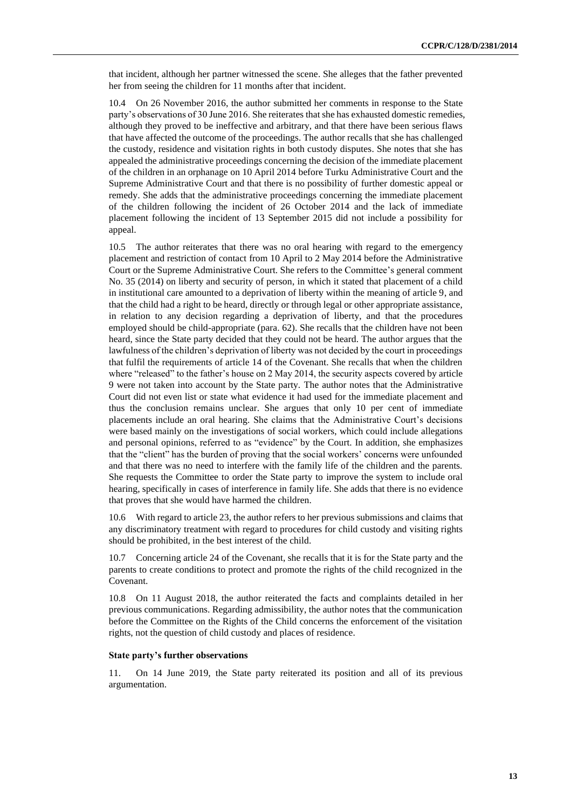that incident, although her partner witnessed the scene. She alleges that the father prevented her from seeing the children for 11 months after that incident.

10.4 On 26 November 2016, the author submitted her comments in response to the State party's observations of 30 June 2016. She reiterates that she has exhausted domestic remedies, although they proved to be ineffective and arbitrary, and that there have been serious flaws that have affected the outcome of the proceedings. The author recalls that she has challenged the custody, residence and visitation rights in both custody disputes. She notes that she has appealed the administrative proceedings concerning the decision of the immediate placement of the children in an orphanage on 10 April 2014 before Turku Administrative Court and the Supreme Administrative Court and that there is no possibility of further domestic appeal or remedy. She adds that the administrative proceedings concerning the immediate placement of the children following the incident of 26 October 2014 and the lack of immediate placement following the incident of 13 September 2015 did not include a possibility for appeal.

10.5 The author reiterates that there was no oral hearing with regard to the emergency placement and restriction of contact from 10 April to 2 May 2014 before the Administrative Court or the Supreme Administrative Court. She refers to the Committee's general comment No. 35 (2014) on liberty and security of person, in which it stated that placement of a child in institutional care amounted to a deprivation of liberty within the meaning of article 9, and that the child had a right to be heard, directly or through legal or other appropriate assistance, in relation to any decision regarding a deprivation of liberty, and that the procedures employed should be child-appropriate (para. 62). She recalls that the children have not been heard, since the State party decided that they could not be heard. The author argues that the lawfulness of the children's deprivation of liberty was not decided by the court in proceedings that fulfil the requirements of article 14 of the Covenant. She recalls that when the children where "released" to the father's house on 2 May 2014, the security aspects covered by article 9 were not taken into account by the State party. The author notes that the Administrative Court did not even list or state what evidence it had used for the immediate placement and thus the conclusion remains unclear. She argues that only 10 per cent of immediate placements include an oral hearing. She claims that the Administrative Court's decisions were based mainly on the investigations of social workers, which could include allegations and personal opinions, referred to as "evidence" by the Court. In addition, she emphasizes that the "client" has the burden of proving that the social workers' concerns were unfounded and that there was no need to interfere with the family life of the children and the parents. She requests the Committee to order the State party to improve the system to include oral hearing, specifically in cases of interference in family life. She adds that there is no evidence that proves that she would have harmed the children.

10.6 With regard to article 23, the author refers to her previous submissions and claims that any discriminatory treatment with regard to procedures for child custody and visiting rights should be prohibited, in the best interest of the child.

10.7 Concerning article 24 of the Covenant, she recalls that it is for the State party and the parents to create conditions to protect and promote the rights of the child recognized in the Covenant.

10.8 On 11 August 2018, the author reiterated the facts and complaints detailed in her previous communications. Regarding admissibility, the author notes that the communication before the Committee on the Rights of the Child concerns the enforcement of the visitation rights, not the question of child custody and places of residence.

#### **State party's further observations**

11. On 14 June 2019, the State party reiterated its position and all of its previous argumentation.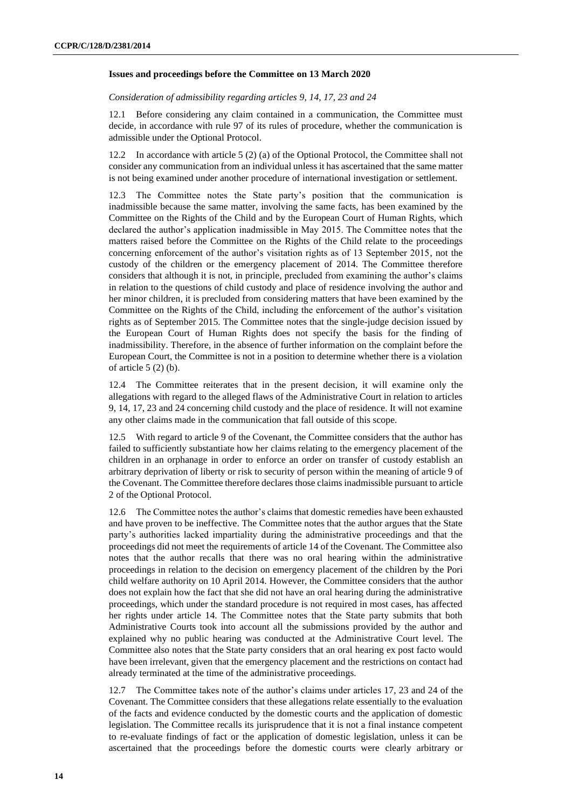#### **Issues and proceedings before the Committee on 13 March 2020**

*Consideration of admissibility regarding articles 9, 14, 17, 23 and 24*

12.1 Before considering any claim contained in a communication, the Committee must decide, in accordance with rule 97 of its rules of procedure, whether the communication is admissible under the Optional Protocol.

12.2 In accordance with article 5 (2) (a) of the Optional Protocol, the Committee shall not consider any communication from an individual unless it has ascertained that the same matter is not being examined under another procedure of international investigation or settlement.

12.3 The Committee notes the State party's position that the communication is inadmissible because the same matter, involving the same facts, has been examined by the Committee on the Rights of the Child and by the European Court of Human Rights, which declared the author's application inadmissible in May 2015. The Committee notes that the matters raised before the Committee on the Rights of the Child relate to the proceedings concerning enforcement of the author's visitation rights as of 13 September 2015, not the custody of the children or the emergency placement of 2014. The Committee therefore considers that although it is not, in principle, precluded from examining the author's claims in relation to the questions of child custody and place of residence involving the author and her minor children, it is precluded from considering matters that have been examined by the Committee on the Rights of the Child, including the enforcement of the author's visitation rights as of September 2015. The Committee notes that the single-judge decision issued by the European Court of Human Rights does not specify the basis for the finding of inadmissibility. Therefore, in the absence of further information on the complaint before the European Court, the Committee is not in a position to determine whether there is a violation of article  $5(2)(b)$ .

12.4 The Committee reiterates that in the present decision, it will examine only the allegations with regard to the alleged flaws of the Administrative Court in relation to articles 9, 14, 17, 23 and 24 concerning child custody and the place of residence. It will not examine any other claims made in the communication that fall outside of this scope.

12.5 With regard to article 9 of the Covenant, the Committee considers that the author has failed to sufficiently substantiate how her claims relating to the emergency placement of the children in an orphanage in order to enforce an order on transfer of custody establish an arbitrary deprivation of liberty or risk to security of person within the meaning of article 9 of the Covenant. The Committee therefore declares those claims inadmissible pursuant to article 2 of the Optional Protocol.

12.6 The Committee notes the author's claims that domestic remedies have been exhausted and have proven to be ineffective. The Committee notes that the author argues that the State party's authorities lacked impartiality during the administrative proceedings and that the proceedings did not meet the requirements of article 14 of the Covenant. The Committee also notes that the author recalls that there was no oral hearing within the administrative proceedings in relation to the decision on emergency placement of the children by the Pori child welfare authority on 10 April 2014. However, the Committee considers that the author does not explain how the fact that she did not have an oral hearing during the administrative proceedings, which under the standard procedure is not required in most cases, has affected her rights under article 14. The Committee notes that the State party submits that both Administrative Courts took into account all the submissions provided by the author and explained why no public hearing was conducted at the Administrative Court level. The Committee also notes that the State party considers that an oral hearing ex post facto would have been irrelevant, given that the emergency placement and the restrictions on contact had already terminated at the time of the administrative proceedings.

12.7 The Committee takes note of the author's claims under articles 17, 23 and 24 of the Covenant. The Committee considers that these allegations relate essentially to the evaluation of the facts and evidence conducted by the domestic courts and the application of domestic legislation. The Committee recalls its jurisprudence that it is not a final instance competent to re-evaluate findings of fact or the application of domestic legislation, unless it can be ascertained that the proceedings before the domestic courts were clearly arbitrary or